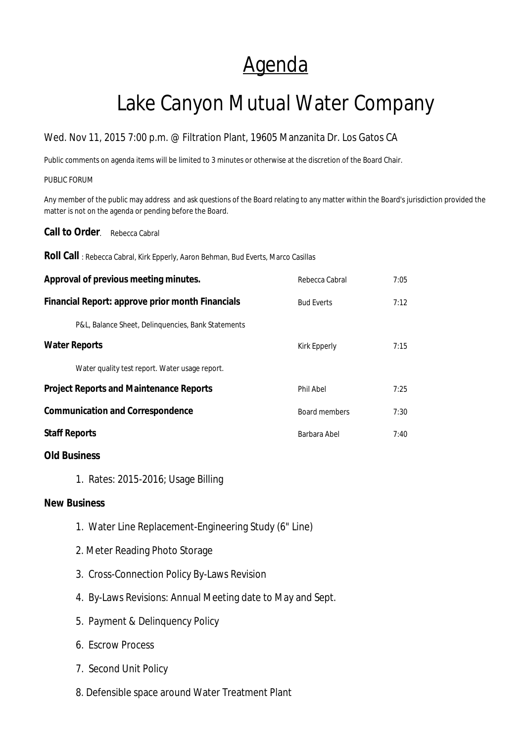## Agenda

# Lake Canyon Mutual Water Company

### Wed. Nov 11, 2015 7:00 p.m. @ Filtration Plant, 19605 Manzanita Dr. Los Gatos CA

Public comments on agenda items will be limited to 3 minutes or otherwise at the discretion of the Board Chair.

#### PUBLIC FORUM

Any member of the public may address and ask questions of the Board relating to any matter within the Board's jurisdiction provided the matter is not on the agenda or pending before the Board.

**Call to Order.** Rebecca Cabral

**Roll Call** : Rebecca Cabral, Kirk Epperly, Aaron Behman, Bud Everts, Marco Casillas

| Approval of previous meeting minutes.              | Rebecca Cabral    | 7:05 |
|----------------------------------------------------|-------------------|------|
| Financial Report: approve prior month Financials   | <b>Bud Everts</b> | 7:12 |
| P&L, Balance Sheet, Delinguencies, Bank Statements |                   |      |
| <b>Water Reports</b>                               | Kirk Epperly      | 7:15 |
| Water quality test report. Water usage report.     |                   |      |
| <b>Project Reports and Maintenance Reports</b>     | Phil Abel         | 7:25 |
| <b>Communication and Correspondence</b>            | Board members     | 7:30 |
| <b>Staff Reports</b>                               | Barbara Abel      | 7:40 |
|                                                    |                   |      |

### **Old Business**

1.Rates: 2015-2016; Usage Billing

#### **New Business**

- 1. Water Line Replacement-Engineering Study (6" Line)
- 2. Meter Reading Photo Storage
- 3. Cross-Connection Policy By-Laws Revision
- 4. By-Laws Revisions: Annual Meeting date to May and Sept.
- 5. Payment & Delinquency Policy
- 6. Escrow Process
- 7. Second Unit Policy
- 8. Defensible space around Water Treatment Plant